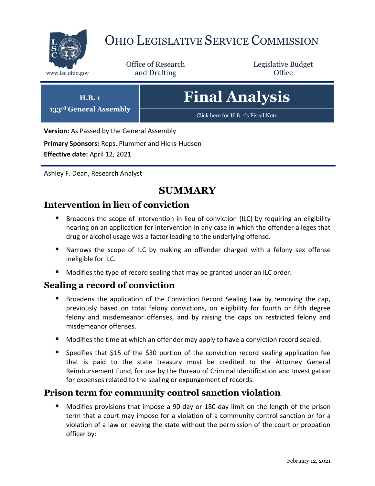

# OHIO LEGISLATIVE SERVICE COMMISSION

Office of Research www.lsc.ohio.gov **and Drafting Office** 

Legislative Budget

# **Final Analysis**

[Click here for H.B. 1](https://www.legislature.ohio.gov/legislation/legislation-documents?id=GA133-HB-1)'s Fiscal Note

**Version:** As Passed by the General Assembly

**Primary Sponsors:** Reps. Plummer and Hicks-Hudson

**Effective date:** April 12, 2021

**H.B. 1 133rd General Assembly**

Ashley F. Dean, Research Analyst

# **SUMMARY**

# **Intervention in lieu of conviction**

- Broadens the scope of intervention in lieu of conviction (ILC) by requiring an eligibility hearing on an application for intervention in any case in which the offender alleges that drug or alcohol usage was a factor leading to the underlying offense.
- **Narrows the scope of ILC by making an offender charged with a felony sex offense** ineligible for ILC.
- **Modifies the type of record sealing that may be granted under an ILC order.**

# **Sealing a record of conviction**

- Broadens the application of the Conviction Record Sealing Law by removing the cap, previously based on total felony convictions, on eligibility for fourth or fifth degree felony and misdemeanor offenses, and by raising the caps on restricted felony and misdemeanor offenses.
- **Modifies the time at which an offender may apply to have a conviction record sealed.**
- Specifies that \$15 of the \$30 portion of the conviction record sealing application fee that is paid to the state treasury must be credited to the Attorney General Reimbursement Fund, for use by the Bureau of Criminal Identification and Investigation for expenses related to the sealing or expungement of records.

# **Prison term for community control sanction violation**

 Modifies provisions that impose a 90-day or 180-day limit on the length of the prison term that a court may impose for a violation of a community control sanction or for a violation of a law or leaving the state without the permission of the court or probation officer by: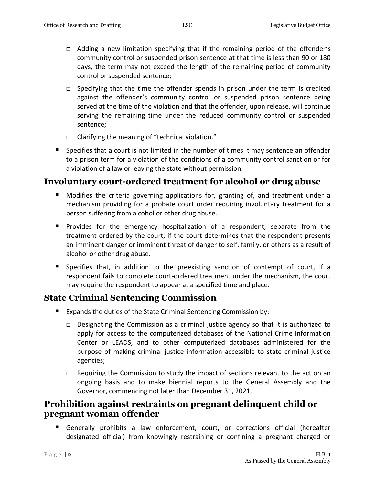- Adding a new limitation specifying that if the remaining period of the offender's community control or suspended prison sentence at that time is less than 90 or 180 days, the term may not exceed the length of the remaining period of community control or suspended sentence;
- $\Box$  Specifying that the time the offender spends in prison under the term is credited against the offender's community control or suspended prison sentence being served at the time of the violation and that the offender, upon release, will continue serving the remaining time under the reduced community control or suspended sentence;
- Clarifying the meaning of "technical violation."
- Specifies that a court is not limited in the number of times it may sentence an offender to a prison term for a violation of the conditions of a community control sanction or for a violation of a law or leaving the state without permission.

# **Involuntary court-ordered treatment for alcohol or drug abuse**

- **Modifies the criteria governing applications for, granting of, and treatment under a** mechanism providing for a probate court order requiring involuntary treatment for a person suffering from alcohol or other drug abuse.
- **Provides for the emergency hospitalization of a respondent, separate from the** treatment ordered by the court, if the court determines that the respondent presents an imminent danger or imminent threat of danger to self, family, or others as a result of alcohol or other drug abuse.
- Specifies that, in addition to the preexisting sanction of contempt of court, if a respondent fails to complete court-ordered treatment under the mechanism, the court may require the respondent to appear at a specified time and place.

# **State Criminal Sentencing Commission**

- Expands the duties of the State Criminal Sentencing Commission by:
	- Designating the Commission as a criminal justice agency so that it is authorized to apply for access to the computerized databases of the National Crime Information Center or LEADS, and to other computerized databases administered for the purpose of making criminal justice information accessible to state criminal justice agencies;
	- □ Requiring the Commission to study the impact of sections relevant to the act on an ongoing basis and to make biennial reports to the General Assembly and the Governor, commencing not later than December 31, 2021.

# **Prohibition against restraints on pregnant delinquent child or pregnant woman offender**

 Generally prohibits a law enforcement, court, or corrections official (hereafter designated official) from knowingly restraining or confining a pregnant charged or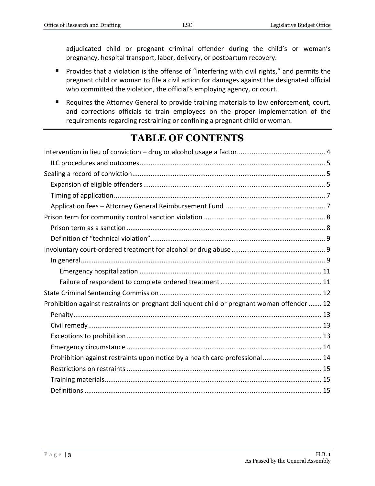adjudicated child or pregnant criminal offender during the child's or woman's pregnancy, hospital transport, labor, delivery, or postpartum recovery.

- **Provides that a violation is the offense of "interfering with civil rights," and permits the** pregnant child or woman to file a civil action for damages against the designated official who committed the violation, the official's employing agency, or court.
- Requires the Attorney General to provide training materials to law enforcement, court, and corrections officials to train employees on the proper implementation of the requirements regarding restraining or confining a pregnant child or woman.

# **TABLE OF CONTENTS**

| Prohibition against restraints on pregnant delinquent child or pregnant woman offender  12 |
|--------------------------------------------------------------------------------------------|
|                                                                                            |
|                                                                                            |
|                                                                                            |
|                                                                                            |
| Prohibition against restraints upon notice by a health care professional 14                |
|                                                                                            |
|                                                                                            |
|                                                                                            |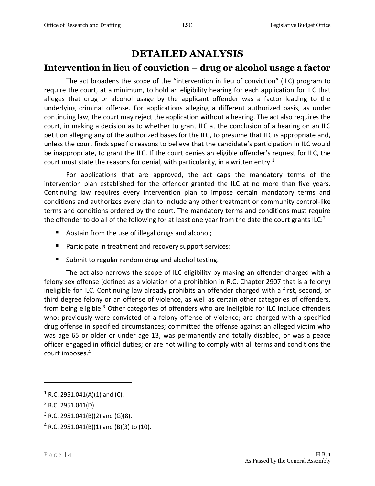# **DETAILED ANALYSIS**

#### <span id="page-3-0"></span>**Intervention in lieu of conviction – drug or alcohol usage a factor**

The act broadens the scope of the "intervention in lieu of conviction" (ILC) program to require the court, at a minimum, to hold an eligibility hearing for each application for ILC that alleges that drug or alcohol usage by the applicant offender was a factor leading to the underlying criminal offense. For applications alleging a different authorized basis, as under continuing law, the court may reject the application without a hearing. The act also requires the court, in making a decision as to whether to grant ILC at the conclusion of a hearing on an ILC petition alleging any of the authorized bases for the ILC, to presume that ILC is appropriate and, unless the court finds specific reasons to believe that the candidate's participation in ILC would be inappropriate, to grant the ILC. If the court denies an eligible offender's request for ILC, the court must state the reasons for denial, with particularity, in a written entry.<sup>1</sup>

For applications that are approved, the act caps the mandatory terms of the intervention plan established for the offender granted the ILC at no more than five years. Continuing law requires every intervention plan to impose certain mandatory terms and conditions and authorizes every plan to include any other treatment or community control-like terms and conditions ordered by the court. The mandatory terms and conditions must require the offender to do all of the following for at least one year from the date the court grants ILC: $2$ 

- Abstain from the use of illegal drugs and alcohol;
- **Participate in treatment and recovery support services;**
- **Submit to regular random drug and alcohol testing.**

The act also narrows the scope of ILC eligibility by making an offender charged with a felony sex offense (defined as a violation of a prohibition in R.C. Chapter 2907 that is a felony) ineligible for ILC. Continuing law already prohibits an offender charged with a first, second, or third degree felony or an offense of violence, as well as certain other categories of offenders, from being eligible.<sup>3</sup> Other categories of offenders who are ineligible for ILC include offenders who: previously were convicted of a felony offense of violence; are charged with a specified drug offense in specified circumstances; committed the offense against an alleged victim who was age 65 or older or under age 13, was permanently and totally disabled, or was a peace officer engaged in official duties; or are not willing to comply with all terms and conditions the court imposes.<sup>4</sup>

 $1$  R.C. 2951.041(A)(1) and (C).

 $2$  R.C. 2951.041(D).

 $3$  R.C. 2951.041(B)(2) and (G)(8).

 $4$  R.C. 2951.041(B)(1) and (B)(3) to (10).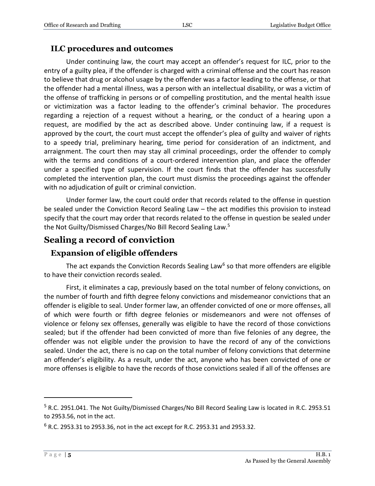#### <span id="page-4-0"></span>**ILC procedures and outcomes**

Under continuing law, the court may accept an offender's request for ILC, prior to the entry of a guilty plea, if the offender is charged with a criminal offense and the court has reason to believe that drug or alcohol usage by the offender was a factor leading to the offense, or that the offender had a mental illness, was a person with an intellectual disability, or was a victim of the offense of trafficking in persons or of compelling prostitution, and the mental health issue or victimization was a factor leading to the offender's criminal behavior. The procedures regarding a rejection of a request without a hearing, or the conduct of a hearing upon a request, are modified by the act as described above. Under continuing law, if a request is approved by the court, the court must accept the offender's plea of guilty and waiver of rights to a speedy trial, preliminary hearing, time period for consideration of an indictment, and arraignment. The court then may stay all criminal proceedings, order the offender to comply with the terms and conditions of a court-ordered intervention plan, and place the offender under a specified type of supervision. If the court finds that the offender has successfully completed the intervention plan, the court must dismiss the proceedings against the offender with no adjudication of guilt or criminal conviction.

Under former law, the court could order that records related to the offense in question be sealed under the Conviction Record Sealing Law – the act modifies this provision to instead specify that the court may order that records related to the offense in question be sealed under the Not Guilty/Dismissed Charges/No Bill Record Sealing Law.<sup>5</sup>

# <span id="page-4-1"></span>**Sealing a record of conviction**

#### <span id="page-4-2"></span>**Expansion of eligible offenders**

The act expands the Conviction Records Sealing Law<sup>6</sup> so that more offenders are eligible to have their conviction records sealed.

First, it eliminates a cap, previously based on the total number of felony convictions, on the number of fourth and fifth degree felony convictions and misdemeanor convictions that an offender is eligible to seal. Under former law, an offender convicted of one or more offenses, all of which were fourth or fifth degree felonies or misdemeanors and were not offenses of violence or felony sex offenses, generally was eligible to have the record of those convictions sealed; but if the offender had been convicted of more than five felonies of any degree, the offender was not eligible under the provision to have the record of any of the convictions sealed. Under the act, there is no cap on the total number of felony convictions that determine an offender's eligibility. As a result, under the act, anyone who has been convicted of one or more offenses is eligible to have the records of those convictions sealed if all of the offenses are

<sup>&</sup>lt;sup>5</sup> R.C. 2951.041. The Not Guilty/Dismissed Charges/No Bill Record Sealing Law is located in R.C. 2953.51 to 2953.56, not in the act.

 $6$  R.C. 2953.31 to 2953.36, not in the act except for R.C. 2953.31 and 2953.32.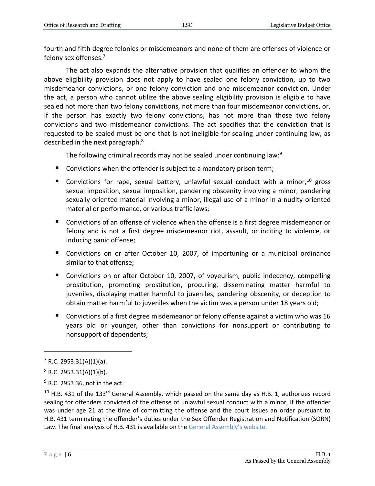fourth and fifth degree felonies or misdemeanors and none of them are offenses of violence or felony sex offenses.<sup>7</sup>

The act also expands the alternative provision that qualifies an offender to whom the above eligibility provision does not apply to have sealed one felony conviction, up to two misdemeanor convictions, or one felony conviction and one misdemeanor conviction. Under the act, a person who cannot utilize the above sealing eligibility provision is eligible to have sealed not more than two felony convictions, not more than four misdemeanor convictions, or, if the person has exactly two felony convictions, has not more than those two felony convictions and two misdemeanor convictions. The act specifies that the conviction that is requested to be sealed must be one that is not ineligible for sealing under continuing law, as described in the next paragraph.<sup>8</sup>

The following criminal records may not be sealed under continuing law:<sup>9</sup>

- Convictions when the offender is subject to a mandatory prison term;
- Convictions for rape, sexual battery, unlawful sexual conduct with a minor,  $10$  gross sexual imposition, sexual imposition, pandering obscenity involving a minor, pandering sexually oriented material involving a minor, illegal use of a minor in a nudity-oriented material or performance, or various traffic laws;
- Convictions of an offense of violence when the offense is a first degree misdemeanor or felony and is not a first degree misdemeanor riot, assault, or inciting to violence, or inducing panic offense;
- Convictions on or after October 10, 2007, of importuning or a municipal ordinance similar to that offense;
- Convictions on or after October 10, 2007, of voyeurism, public indecency, compelling prostitution, promoting prostitution, procuring, disseminating matter harmful to juveniles, displaying matter harmful to juveniles, pandering obscenity, or deception to obtain matter harmful to juveniles when the victim was a person under 18 years old;
- Convictions of a first degree misdemeanor or felony offense against a victim who was 16 years old or younger, other than convictions for nonsupport or contributing to nonsupport of dependents;

 $7 R.C. 2953.31(A)(1)(a)$ .

 $8$  R.C. 2953.31(A)(1)(b).

<sup>&</sup>lt;sup>9</sup> R.C. 2953.36, not in the act.

<sup>&</sup>lt;sup>10</sup> H.B. 431 of the 133<sup>rd</sup> General Assembly, which passed on the same day as H.B. 1, authorizes record sealing for offenders convicted of the offense of unlawful sexual conduct with a minor, if the offender was under age 21 at the time of committing the offense and the court issues an order pursuant to H.B. 431 terminating the offender's duties under the Sex Offender Registration and Notification (SORN) Law. The final analysis of H.B. 431 is available on the [General Assembly](https://www.legislature.ohio.gov/legislation/legislation-documents?id=GA133-HB-431)'s website.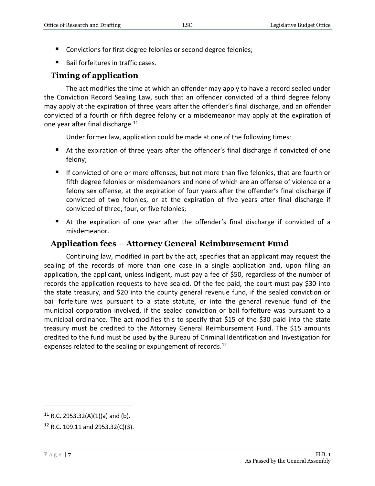- Convictions for first degree felonies or second degree felonies;
- Bail forfeitures in traffic cases.

# <span id="page-6-0"></span>**Timing of application**

The act modifies the time at which an offender may apply to have a record sealed under the Conviction Record Sealing Law, such that an offender convicted of a third degree felony may apply at the expiration of three years after the offender's final discharge, and an offender convicted of a fourth or fifth degree felony or a misdemeanor may apply at the expiration of one year after final discharge.<sup>11</sup>

Under former law, application could be made at one of the following times:

- At the expiration of three years after the offender's final discharge if convicted of one felony;
- If convicted of one or more offenses, but not more than five felonies, that are fourth or fifth degree felonies or misdemeanors and none of which are an offense of violence or a felony sex offense, at the expiration of four years after the offender's final discharge if convicted of two felonies, or at the expiration of five years after final discharge if convicted of three, four, or five felonies;
- At the expiration of one year after the offender's final discharge if convicted of a misdemeanor.

### <span id="page-6-1"></span>**Application fees – Attorney General Reimbursement Fund**

Continuing law, modified in part by the act, specifies that an applicant may request the sealing of the records of more than one case in a single application and, upon filing an application, the applicant, unless indigent, must pay a fee of \$50, regardless of the number of records the application requests to have sealed. Of the fee paid, the court must pay \$30 into the state treasury, and \$20 into the county general revenue fund, if the sealed conviction or bail forfeiture was pursuant to a state statute, or into the general revenue fund of the municipal corporation involved, if the sealed conviction or bail forfeiture was pursuant to a municipal ordinance. The act modifies this to specify that \$15 of the \$30 paid into the state treasury must be credited to the Attorney General Reimbursement Fund. The \$15 amounts credited to the fund must be used by the Bureau of Criminal Identification and Investigation for expenses related to the sealing or expungement of records.<sup>12</sup>

<sup>&</sup>lt;sup>11</sup> R.C. 2953.32(A)(1)(a) and (b).

 $12$  R.C. 109.11 and 2953.32(C)(3).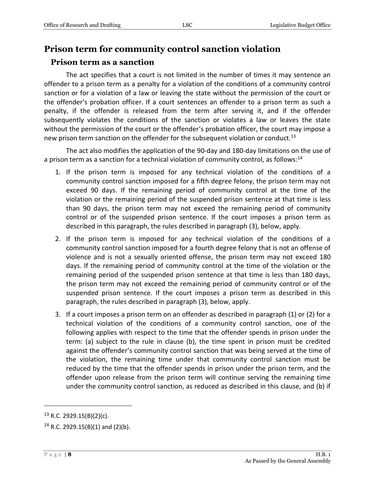## <span id="page-7-0"></span>**Prison term for community control sanction violation**

#### <span id="page-7-1"></span>**Prison term as a sanction**

The act specifies that a court is not limited in the number of times it may sentence an offender to a prison term as a penalty for a violation of the conditions of a community control sanction or for a violation of a law or leaving the state without the permission of the court or the offender's probation officer. If a court sentences an offender to a prison term as such a penalty, if the offender is released from the term after serving it, and if the offender subsequently violates the conditions of the sanction or violates a law or leaves the state without the permission of the court or the offender's probation officer, the court may impose a new prison term sanction on the offender for the subsequent violation or conduct.<sup>13</sup>

The act also modifies the application of the 90-day and 180-day limitations on the use of a prison term as a sanction for a technical violation of community control, as follows:<sup>14</sup>

- 1. If the prison term is imposed for any technical violation of the conditions of a community control sanction imposed for a fifth degree felony, the prison term may not exceed 90 days. If the remaining period of community control at the time of the violation or the remaining period of the suspended prison sentence at that time is less than 90 days, the prison term may not exceed the remaining period of community control or of the suspended prison sentence. If the court imposes a prison term as described in this paragraph, the rules described in paragraph (3), below, apply.
- 2. If the prison term is imposed for any technical violation of the conditions of a community control sanction imposed for a fourth degree felony that is not an offense of violence and is not a sexually oriented offense, the prison term may not exceed 180 days. If the remaining period of community control at the time of the violation or the remaining period of the suspended prison sentence at that time is less than 180 days, the prison term may not exceed the remaining period of community control or of the suspended prison sentence. If the court imposes a prison term as described in this paragraph, the rules described in paragraph (3), below, apply.
- 3. If a court imposes a prison term on an offender as described in paragraph (1) or (2) for a technical violation of the conditions of a community control sanction, one of the following applies with respect to the time that the offender spends in prison under the term: (a) subject to the rule in clause (b), the time spent in prison must be credited against the offender's community control sanction that was being served at the time of the violation, the remaining time under that community control sanction must be reduced by the time that the offender spends in prison under the prison term, and the offender upon release from the prison term will continue serving the remaining time under the community control sanction, as reduced as described in this clause, and (b) if

 $13$  R.C. 2929.15(B)(2)(c).

<sup>&</sup>lt;sup>14</sup> R.C. 2929.15(B)(1) and (2)(b).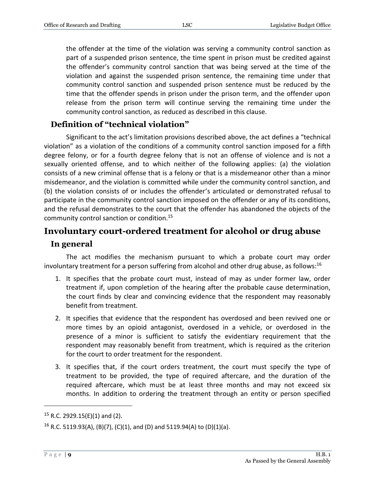the offender at the time of the violation was serving a community control sanction as part of a suspended prison sentence, the time spent in prison must be credited against the offender's community control sanction that was being served at the time of the violation and against the suspended prison sentence, the remaining time under that community control sanction and suspended prison sentence must be reduced by the time that the offender spends in prison under the prison term, and the offender upon release from the prison term will continue serving the remaining time under the community control sanction, as reduced as described in this clause.

## <span id="page-8-0"></span>**Definition of "technical violation"**

Significant to the act's limitation provisions described above, the act defines a "technical violation" as a violation of the conditions of a community control sanction imposed for a fifth degree felony, or for a fourth degree felony that is not an offense of violence and is not a sexually oriented offense, and to which neither of the following applies: (a) the violation consists of a new criminal offense that is a felony or that is a misdemeanor other than a minor misdemeanor, and the violation is committed while under the community control sanction, and (b) the violation consists of or includes the offender's articulated or demonstrated refusal to participate in the community control sanction imposed on the offender or any of its conditions, and the refusal demonstrates to the court that the offender has abandoned the objects of the community control sanction or condition.<sup>15</sup>

## <span id="page-8-1"></span>**Involuntary court-ordered treatment for alcohol or drug abuse**

#### <span id="page-8-2"></span>**In general**

The act modifies the mechanism pursuant to which a probate court may order involuntary treatment for a person suffering from alcohol and other drug abuse, as follows:<sup>16</sup>

- 1. It specifies that the probate court must, instead of may as under former law, order treatment if, upon completion of the hearing after the probable cause determination, the court finds by clear and convincing evidence that the respondent may reasonably benefit from treatment.
- 2. It specifies that evidence that the respondent has overdosed and been revived one or more times by an opioid antagonist, overdosed in a vehicle, or overdosed in the presence of a minor is sufficient to satisfy the evidentiary requirement that the respondent may reasonably benefit from treatment, which is required as the criterion for the court to order treatment for the respondent.
- 3. It specifies that, if the court orders treatment, the court must specify the type of treatment to be provided, the type of required aftercare, and the duration of the required aftercare, which must be at least three months and may not exceed six months. In addition to ordering the treatment through an entity or person specified

 $15$  R.C. 2929.15(E)(1) and (2).

<sup>&</sup>lt;sup>16</sup> R.C. 5119.93(A), (B)(7), (C)(1), and (D) and 5119.94(A) to (D)(1)(a).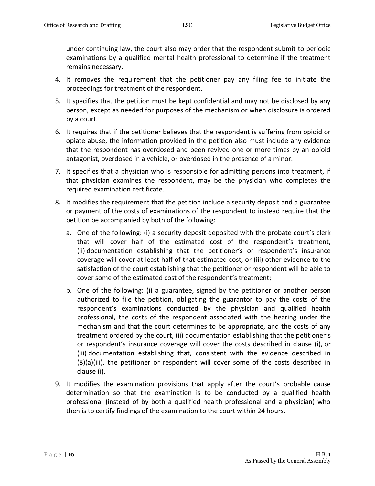under continuing law, the court also may order that the respondent submit to periodic examinations by a qualified mental health professional to determine if the treatment remains necessary.

- 4. It removes the requirement that the petitioner pay any filing fee to initiate the proceedings for treatment of the respondent.
- 5. It specifies that the petition must be kept confidential and may not be disclosed by any person, except as needed for purposes of the mechanism or when disclosure is ordered by a court.
- 6. It requires that if the petitioner believes that the respondent is suffering from opioid or opiate abuse, the information provided in the petition also must include any evidence that the respondent has overdosed and been revived one or more times by an opioid antagonist, overdosed in a vehicle, or overdosed in the presence of a minor.
- 7. It specifies that a physician who is responsible for admitting persons into treatment, if that physician examines the respondent, may be the physician who completes the required examination certificate.
- 8. It modifies the requirement that the petition include a security deposit and a guarantee or payment of the costs of examinations of the respondent to instead require that the petition be accompanied by both of the following:
	- a. One of the following: (i) a security deposit deposited with the probate court's clerk that will cover half of the estimated cost of the respondent's treatment, (ii) documentation establishing that the petitioner's or respondent's insurance coverage will cover at least half of that estimated cost, or (iii) other evidence to the satisfaction of the court establishing that the petitioner or respondent will be able to cover some of the estimated cost of the respondent's treatment;
	- b. One of the following: (i) a guarantee, signed by the petitioner or another person authorized to file the petition, obligating the guarantor to pay the costs of the respondent's examinations conducted by the physician and qualified health professional, the costs of the respondent associated with the hearing under the mechanism and that the court determines to be appropriate, and the costs of any treatment ordered by the court, (ii) documentation establishing that the petitioner's or respondent's insurance coverage will cover the costs described in clause (i), or (iii) documentation establishing that, consistent with the evidence described in (8)(a)(iii), the petitioner or respondent will cover some of the costs described in clause (i).
- 9. It modifies the examination provisions that apply after the court's probable cause determination so that the examination is to be conducted by a qualified health professional (instead of by both a qualified health professional and a physician) who then is to certify findings of the examination to the court within 24 hours.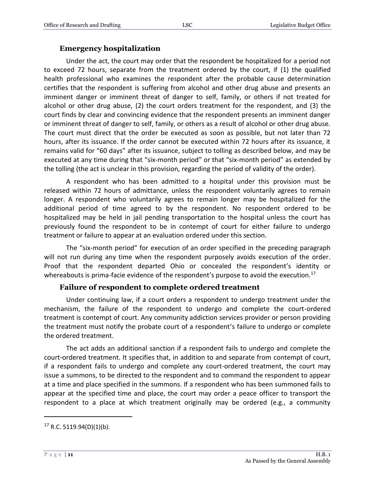#### **Emergency hospitalization**

<span id="page-10-0"></span>Under the act, the court may order that the respondent be hospitalized for a period not to exceed 72 hours, separate from the treatment ordered by the court, if (1) the qualified health professional who examines the respondent after the probable cause determination certifies that the respondent is suffering from alcohol and other drug abuse and presents an imminent danger or imminent threat of danger to self, family, or others if not treated for alcohol or other drug abuse, (2) the court orders treatment for the respondent, and (3) the court finds by clear and convincing evidence that the respondent presents an imminent danger or imminent threat of danger to self, family, or others as a result of alcohol or other drug abuse. The court must direct that the order be executed as soon as possible, but not later than 72 hours, after its issuance. If the order cannot be executed within 72 hours after its issuance, it remains valid for "60 days" after its issuance, subject to tolling as described below, and may be executed at any time during that "six-month period" or that "six-month period" as extended by the tolling (the act is unclear in this provision, regarding the period of validity of the order).

A respondent who has been admitted to a hospital under this provision must be released within 72 hours of admittance, unless the respondent voluntarily agrees to remain longer. A respondent who voluntarily agrees to remain longer may be hospitalized for the additional period of time agreed to by the respondent. No respondent ordered to be hospitalized may be held in jail pending transportation to the hospital unless the court has previously found the respondent to be in contempt of court for either failure to undergo treatment or failure to appear at an evaluation ordered under this section.

The "six-month period" for execution of an order specified in the preceding paragraph will not run during any time when the respondent purposely avoids execution of the order. Proof that the respondent departed Ohio or concealed the respondent's identity or whereabouts is prima-facie evidence of the respondent's purpose to avoid the execution.<sup>17</sup>

#### **Failure of respondent to complete ordered treatment**

<span id="page-10-1"></span>Under continuing law, if a court orders a respondent to undergo treatment under the mechanism, the failure of the respondent to undergo and complete the court-ordered treatment is contempt of court. Any community addiction services provider or person providing the treatment must notify the probate court of a respondent's failure to undergo or complete the ordered treatment.

The act adds an additional sanction if a respondent fails to undergo and complete the court-ordered treatment. It specifies that, in addition to and separate from contempt of court, if a respondent fails to undergo and complete any court-ordered treatment, the court may issue a summons, to be directed to the respondent and to command the respondent to appear at a time and place specified in the summons. If a respondent who has been summoned fails to appear at the specified time and place, the court may order a peace officer to transport the respondent to a place at which treatment originally may be ordered (e.g., a community

 $17$  R.C. 5119.94(D)(1)(b).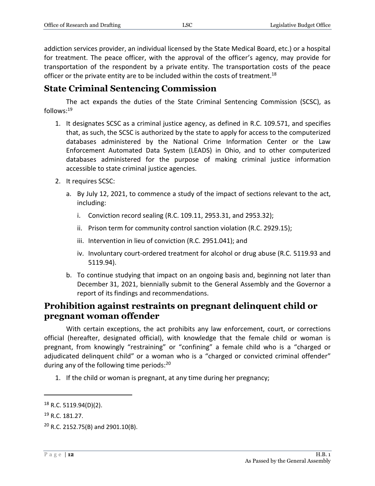addiction services provider, an individual licensed by the State Medical Board, etc.) or a hospital for treatment. The peace officer, with the approval of the officer's agency, may provide for transportation of the respondent by a private entity. The transportation costs of the peace officer or the private entity are to be included within the costs of treatment.<sup>18</sup>

# <span id="page-11-0"></span>**State Criminal Sentencing Commission**

The act expands the duties of the State Criminal Sentencing Commission (SCSC), as follows:<sup>19</sup>

- 1. It designates SCSC as a criminal justice agency, as defined in R.C. 109.571, and specifies that, as such, the SCSC is authorized by the state to apply for access to the computerized databases administered by the National Crime Information Center or the Law Enforcement Automated Data System (LEADS) in Ohio, and to other computerized databases administered for the purpose of making criminal justice information accessible to state criminal justice agencies.
- 2. It requires SCSC:
	- a. By July 12, 2021, to commence a study of the impact of sections relevant to the act, including:
		- i. Conviction record sealing (R.C. 109.11, 2953.31, and 2953.32);
		- ii. Prison term for community control sanction violation (R.C. 2929.15);
		- iii. Intervention in lieu of conviction (R.C. 2951.041); and
		- iv. Involuntary court-ordered treatment for alcohol or drug abuse (R.C. 5119.93 and 5119.94).
	- b. To continue studying that impact on an ongoing basis and, beginning not later than December 31, 2021, biennially submit to the General Assembly and the Governor a report of its findings and recommendations.

# <span id="page-11-1"></span>**Prohibition against restraints on pregnant delinquent child or pregnant woman offender**

With certain exceptions, the act prohibits any law enforcement, court, or corrections official (hereafter, designated official), with knowledge that the female child or woman is pregnant, from knowingly "restraining" or "confining" a female child who is a "charged or adjudicated delinquent child" or a woman who is a "charged or convicted criminal offender" during any of the following time periods: $^{20}$ 

1. If the child or woman is pregnant, at any time during her pregnancy;

<sup>18</sup> R.C. 5119.94(D)(2).

<sup>19</sup> R.C. 181.27.

<sup>20</sup> R.C. 2152.75(B) and 2901.10(B).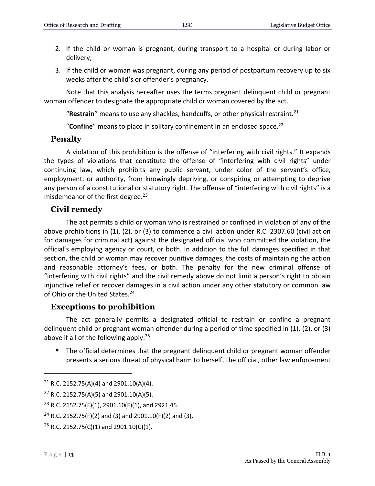- 2. If the child or woman is pregnant, during transport to a hospital or during labor or delivery;
- 3. If the child or woman was pregnant, during any period of postpartum recovery up to six weeks after the child's or offender's pregnancy.

Note that this analysis hereafter uses the terms pregnant delinquent child or pregnant woman offender to designate the appropriate child or woman covered by the act.

"**Restrain**" means to use any shackles, handcuffs, or other physical restraint.<sup>21</sup>

"**Confine**" means to place in solitary confinement in an enclosed space.<sup>22</sup>

## <span id="page-12-0"></span>**Penalty**

A violation of this prohibition is the offense of "interfering with civil rights." It expands the types of violations that constitute the offense of "interfering with civil rights" under continuing law, which prohibits any public servant, under color of the servant's office, employment, or authority, from knowingly depriving, or conspiring or attempting to deprive any person of a constitutional or statutory right. The offense of "interfering with civil rights" is a misdemeanor of the first degree. $23$ 

#### <span id="page-12-1"></span>**Civil remedy**

The act permits a child or woman who is restrained or confined in violation of any of the above prohibitions in (1), (2), or (3) to commence a civil action under R.C. 2307.60 (civil action for damages for criminal act) against the designated official who committed the violation, the official's employing agency or court, or both. In addition to the full damages specified in that section, the child or woman may recover punitive damages, the costs of maintaining the action and reasonable attorney's fees, or both. The penalty for the new criminal offense of "interfering with civil rights" and the civil remedy above do not limit a person's right to obtain injunctive relief or recover damages in a civil action under any other statutory or common law of Ohio or the United States.<sup>24</sup>

#### <span id="page-12-2"></span>**Exceptions to prohibition**

The act generally permits a designated official to restrain or confine a pregnant delinquent child or pregnant woman offender during a period of time specified in (1), (2), or (3) above if all of the following apply:<sup>25</sup>

■ The official determines that the pregnant delinquent child or pregnant woman offender presents a serious threat of physical harm to herself, the official, other law enforcement

<sup>&</sup>lt;sup>21</sup> R.C. 2152.75(A)(4) and 2901.10(A)(4).

 $22$  R.C. 2152.75(A)(5) and 2901.10(A)(5).

<sup>&</sup>lt;sup>23</sup> R.C. 2152.75(F)(1), 2901.10(F)(1), and 2921.45.

<sup>&</sup>lt;sup>24</sup> R.C. 2152.75(F)(2) and (3) and 2901.10(F)(2) and (3).

<sup>&</sup>lt;sup>25</sup> R.C. 2152.75(C)(1) and 2901.10(C)(1).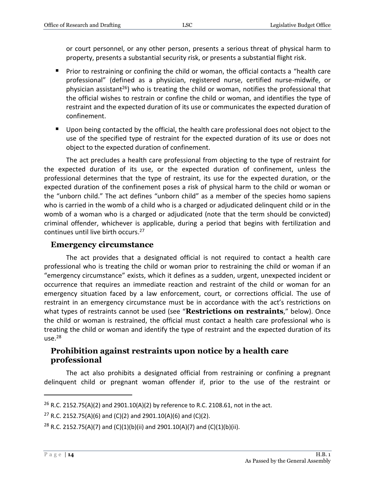or court personnel, or any other person, presents a serious threat of physical harm to property, presents a substantial security risk, or presents a substantial flight risk.

- **Prior to restraining or confining the child or woman, the official contacts a "health care** professional" (defined as a physician, registered nurse, certified nurse-midwife, or physician assistant<sup>26</sup>) who is treating the child or woman, notifies the professional that the official wishes to restrain or confine the child or woman, and identifies the type of restraint and the expected duration of its use or communicates the expected duration of confinement.
- Upon being contacted by the official, the health care professional does not object to the use of the specified type of restraint for the expected duration of its use or does not object to the expected duration of confinement.

The act precludes a health care professional from objecting to the type of restraint for the expected duration of its use, or the expected duration of confinement, unless the professional determines that the type of restraint, its use for the expected duration, or the expected duration of the confinement poses a risk of physical harm to the child or woman or the "unborn child." The act defines "unborn child" as a member of the species homo sapiens who is carried in the womb of a child who is a charged or adjudicated delinquent child or in the womb of a woman who is a charged or adjudicated (note that the term should be convicted) criminal offender, whichever is applicable, during a period that begins with fertilization and continues until live birth occurs. 27

#### <span id="page-13-0"></span>**Emergency circumstance**

The act provides that a designated official is not required to contact a health care professional who is treating the child or woman prior to restraining the child or woman if an "emergency circumstance" exists, which it defines as a sudden, urgent, unexpected incident or occurrence that requires an immediate reaction and restraint of the child or woman for an emergency situation faced by a law enforcement, court, or corrections official. The use of restraint in an emergency circumstance must be in accordance with the act's restrictions on what types of restraints cannot be used (see "**Restrictions on restraints**," below). Once the child or woman is restrained, the official must contact a health care professional who is treating the child or woman and identify the type of restraint and the expected duration of its  $use.<sup>28</sup>$ 

#### <span id="page-13-1"></span>**Prohibition against restraints upon notice by a health care professional**

The act also prohibits a designated official from restraining or confining a pregnant delinquent child or pregnant woman offender if, prior to the use of the restraint or

<sup>&</sup>lt;sup>26</sup> R.C. 2152.75(A)(2) and 2901.10(A)(2) by reference to R.C. 2108.61, not in the act.

<sup>&</sup>lt;sup>27</sup> R.C. 2152.75(A)(6) and (C)(2) and 2901.10(A)(6) and (C)(2).

<sup>&</sup>lt;sup>28</sup> R.C. 2152.75(A)(7) and (C)(1)(b)(ii) and 2901.10(A)(7) and (C)(1)(b)(ii).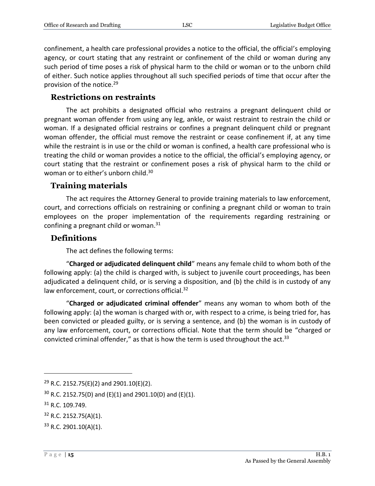confinement, a health care professional provides a notice to the official, the official's employing agency, or court stating that any restraint or confinement of the child or woman during any such period of time poses a risk of physical harm to the child or woman or to the unborn child of either. Such notice applies throughout all such specified periods of time that occur after the provision of the notice.<sup>29</sup>

#### <span id="page-14-0"></span>**Restrictions on restraints**

The act prohibits a designated official who restrains a pregnant delinquent child or pregnant woman offender from using any leg, ankle, or waist restraint to restrain the child or woman. If a designated official restrains or confines a pregnant delinquent child or pregnant woman offender, the official must remove the restraint or cease confinement if, at any time while the restraint is in use or the child or woman is confined, a health care professional who is treating the child or woman provides a notice to the official, the official's employing agency, or court stating that the restraint or confinement poses a risk of physical harm to the child or woman or to either's unborn child.<sup>30</sup>

#### <span id="page-14-1"></span>**Training materials**

The act requires the Attorney General to provide training materials to law enforcement, court, and corrections officials on restraining or confining a pregnant child or woman to train employees on the proper implementation of the requirements regarding restraining or confining a pregnant child or woman. $31$ 

#### <span id="page-14-2"></span>**Definitions**

The act defines the following terms:

"**Charged or adjudicated delinquent child**" means any female child to whom both of the following apply: (a) the child is charged with, is subject to juvenile court proceedings, has been adjudicated a delinquent child, or is serving a disposition, and (b) the child is in custody of any law enforcement, court, or corrections official.<sup>32</sup>

"**Charged or adjudicated criminal offender**" means any woman to whom both of the following apply: (a) the woman is charged with or, with respect to a crime, is being tried for, has been convicted or pleaded guilty, or is serving a sentence, and (b) the woman is in custody of any law enforcement, court, or corrections official. Note that the term should be "charged or convicted criminal offender," as that is how the term is used throughout the act.<sup>33</sup>

 $29$  R.C. 2152.75(E)(2) and 2901.10(E)(2).

 $30$  R.C. 2152.75(D) and (E)(1) and 2901.10(D) and (E)(1).

<sup>31</sup> R.C. 109.749.

<sup>32</sup> R.C. 2152.75(A)(1).

 $33$  R.C. 2901.10(A)(1).